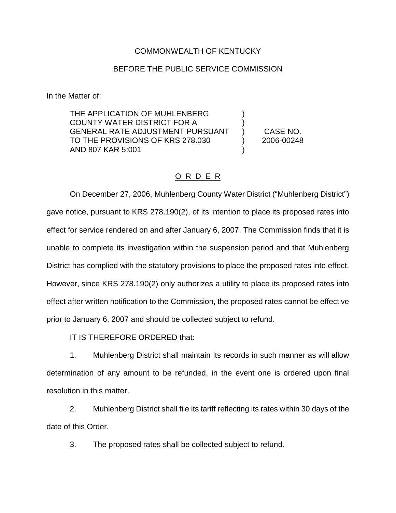## COMMONWEALTH OF KENTUCKY

## BEFORE THE PUBLIC SERVICE COMMISSION

In the Matter of:

THE APPLICATION OF MUHLENBERG COUNTY WATER DISTRICT FOR A ) GENERAL RATE ADJUSTMENT PURSUANT ) CASE NO. TO THE PROVISIONS OF KRS 278.030 ) 2006-00248 AND 807 KAR 5:001 )

## O R D E R

On December 27, 2006, Muhlenberg County Water District ("Muhlenberg District") gave notice, pursuant to KRS 278.190(2), of its intention to place its proposed rates into effect for service rendered on and after January 6, 2007. The Commission finds that it is unable to complete its investigation within the suspension period and that Muhlenberg District has complied with the statutory provisions to place the proposed rates into effect. However, since KRS 278.190(2) only authorizes a utility to place its proposed rates into effect after written notification to the Commission, the proposed rates cannot be effective prior to January 6, 2007 and should be collected subject to refund.

IT IS THEREFORE ORDERED that:

1. Muhlenberg District shall maintain its records in such manner as will allow determination of any amount to be refunded, in the event one is ordered upon final resolution in this matter.

2. Muhlenberg District shall file its tariff reflecting its rates within 30 days of the date of this Order.

3. The proposed rates shall be collected subject to refund.